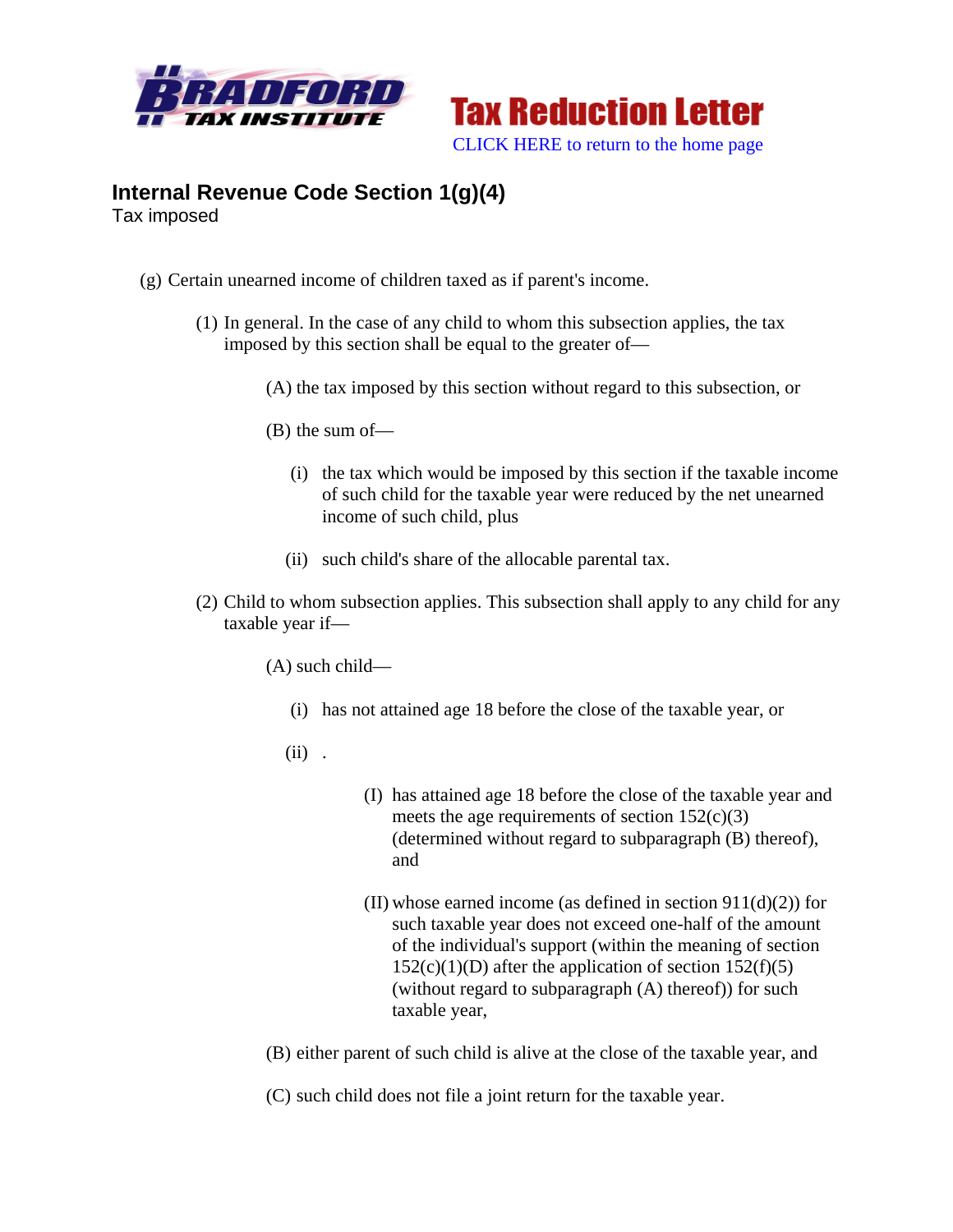



## **Internal Revenue Code Section 1(g)(4)**

Tax imposed

- (g) Certain unearned income of children taxed as if parent's income.
	- (1) In general. In the case of any child to whom this subsection applies, the tax imposed by this section shall be equal to the greater of—
		- (A) the tax imposed by this section without regard to this subsection, or
		- (B) the sum of—
			- (i) the tax which would be imposed by this section if the taxable income of such child for the taxable year were reduced by the net unearned income of such child, plus
			- (ii) such child's share of the allocable parental tax.
	- (2) Child to whom subsection applies. This subsection shall apply to any child for any taxable year if—

(A) such child—

- (i) has not attained age 18 before the close of the taxable year, or
- (ii) .
- (I) has attained age 18 before the close of the taxable year and meets the age requirements of section  $152(c)(3)$ (determined without regard to subparagraph (B) thereof), and
- (II) whose earned income (as defined in section  $911(d)(2)$ ) for such taxable year does not exceed one-half of the amount of the individual's support (within the meaning of section  $152(c)(1)(D)$  after the application of section  $152(f)(5)$ (without regard to subparagraph (A) thereof)) for such taxable year,
- (B) either parent of such child is alive at the close of the taxable year, and

(C) such child does not file a joint return for the taxable year.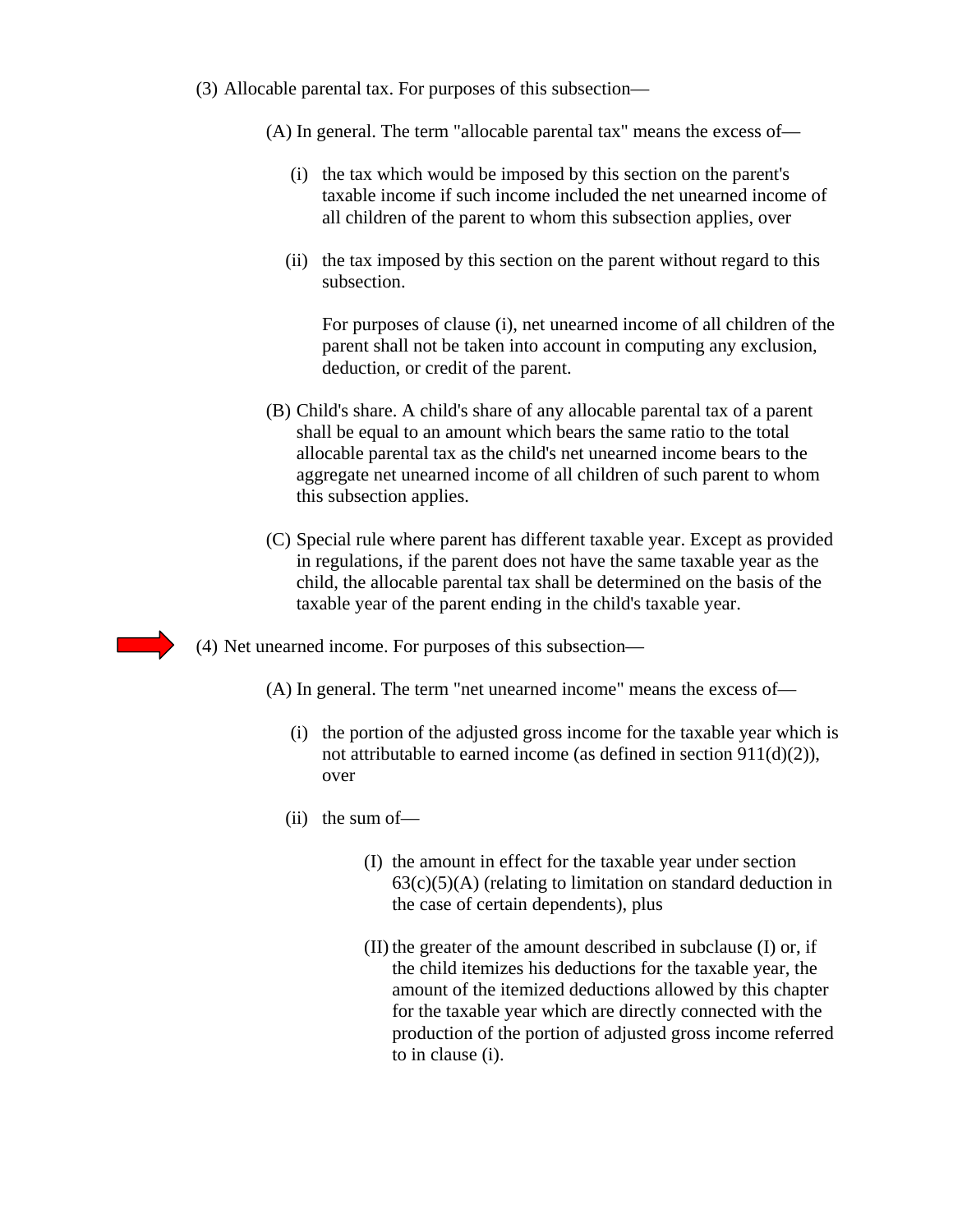(3) Allocable parental tax. For purposes of this subsection—

(A) In general. The term "allocable parental tax" means the excess of—

- (i) the tax which would be imposed by this section on the parent's taxable income if such income included the net unearned income of all children of the parent to whom this subsection applies, over
- (ii) the tax imposed by this section on the parent without regard to this subsection.

For purposes of clause (i), net unearned income of all children of the parent shall not be taken into account in computing any exclusion, deduction, or credit of the parent.

- (B) Child's share. A child's share of any allocable parental tax of a parent shall be equal to an amount which bears the same ratio to the total allocable parental tax as the child's net unearned income bears to the aggregate net unearned income of all children of such parent to whom this subsection applies.
- (C) Special rule where parent has different taxable year. Except as provided in regulations, if the parent does not have the same taxable year as the child, the allocable parental tax shall be determined on the basis of the taxable year of the parent ending in the child's taxable year.
- (4) Net unearned income. For purposes of this subsection—
	- (A) In general. The term "net unearned income" means the excess of—
		- (i) the portion of the adjusted gross income for the taxable year which is not attributable to earned income (as defined in section 911(d)(2)), over
		- (ii) the sum of—
			- (I) the amount in effect for the taxable year under section  $63(c)(5)(A)$  (relating to limitation on standard deduction in the case of certain dependents), plus
			- (II) the greater of the amount described in subclause (I) or, if the child itemizes his deductions for the taxable year, the amount of the itemized deductions allowed by this chapter for the taxable year which are directly connected with the production of the portion of adjusted gross income referred to in clause (i).